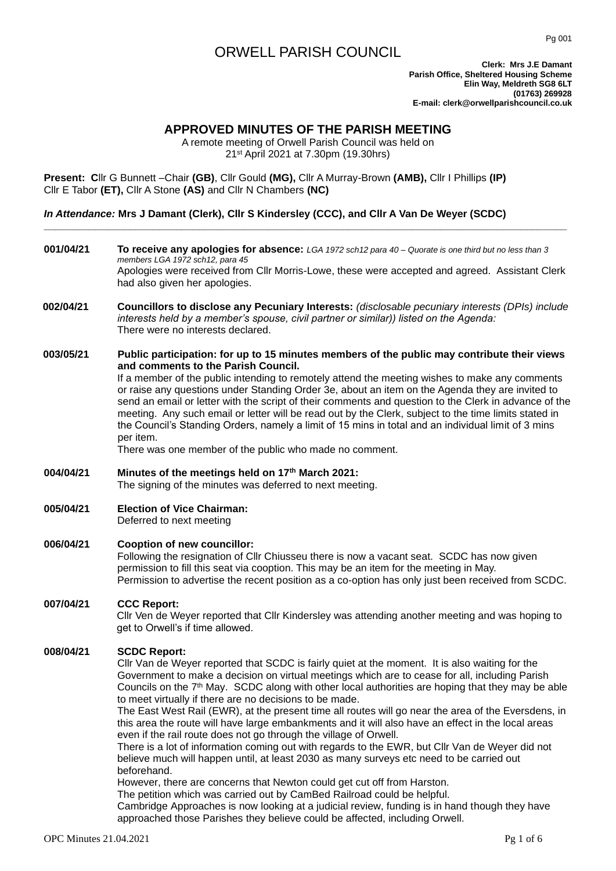# ORWELL PARISH COUNCIL

**Clerk: Mrs J.E Damant Parish Office, Sheltered Housing Scheme Elin Way, Meldreth SG8 6LT (01763) 269928 E-mail: clerk@orwellparishcouncil.co.uk**

## **APPROVED MINUTES OF THE PARISH MEETING**

A remote meeting of Orwell Parish Council was held on 21st April 2021 at 7.30pm (19.30hrs)

**Present: C**llr G Bunnett –Chair **(GB)**, Cllr Gould **(MG),** Cllr A Murray-Brown **(AMB),** Cllr I Phillips **(IP)**  Cllr E Tabor **(ET),** Cllr A Stone **(AS)** and Cllr N Chambers **(NC)**

## *In Attendance:* **Mrs J Damant (Clerk), Cllr S Kindersley (CCC), and Cllr A Van De Weyer (SCDC)**

**001/04/21 To receive any apologies for absence:** *LGA 1972 sch12 para 40 – Quorate is one third but no less than 3 members LGA 1972 sch12, para 45* Apologies were received from Cllr Morris-Lowe, these were accepted and agreed. Assistant Clerk had also given her apologies.

**\_\_\_\_\_\_\_\_\_\_\_\_\_\_\_\_\_\_\_\_\_\_\_\_\_\_\_\_\_\_\_\_\_\_\_\_\_\_\_\_\_\_\_\_\_\_\_\_\_\_\_\_\_\_\_\_\_\_\_\_\_\_\_\_\_\_\_\_\_\_\_\_\_\_\_\_\_\_\_\_\_\_\_\_\_\_\_\_\_\_\_**

**002/04/21 Councillors to disclose any Pecuniary Interests:** *(disclosable pecuniary interests (DPIs) include interests held by a member's spouse, civil partner or similar)) listed on the Agenda:* There were no interests declared.

## **003/05/21 Public participation: for up to 15 minutes members of the public may contribute their views and comments to the Parish Council.**

If a member of the public intending to remotely attend the meeting wishes to make any comments or raise any questions under Standing Order 3e, about an item on the Agenda they are invited to send an email or letter with the script of their comments and question to the Clerk in advance of the meeting. Any such email or letter will be read out by the Clerk, subject to the time limits stated in the Council's Standing Orders, namely a limit of 15 mins in total and an individual limit of 3 mins per item.

There was one member of the public who made no comment.

## **004/04/21 Minutes of the meetings held on 17th March 2021:**

The signing of the minutes was deferred to next meeting.

**005/04/21 Election of Vice Chairman:** Deferred to next meeting

### **006/04/21 Cooption of new councillor:**

Following the resignation of Cllr Chiusseu there is now a vacant seat. SCDC has now given permission to fill this seat via cooption. This may be an item for the meeting in May. Permission to advertise the recent position as a co-option has only just been received from SCDC.

### **007/04/21 CCC Report:**

Cllr Ven de Weyer reported that Cllr Kindersley was attending another meeting and was hoping to get to Orwell's if time allowed.

### **008/04/21 SCDC Report:**

Cllr Van de Weyer reported that SCDC is fairly quiet at the moment. It is also waiting for the Government to make a decision on virtual meetings which are to cease for all, including Parish Councils on the 7<sup>th</sup> May. SCDC along with other local authorities are hoping that they may be able to meet virtually if there are no decisions to be made.

The East West Rail (EWR), at the present time all routes will go near the area of the Eversdens, in this area the route will have large embankments and it will also have an effect in the local areas even if the rail route does not go through the village of Orwell.

There is a lot of information coming out with regards to the EWR, but Cllr Van de Weyer did not believe much will happen until, at least 2030 as many surveys etc need to be carried out beforehand.

However, there are concerns that Newton could get cut off from Harston.

The petition which was carried out by CamBed Railroad could be helpful.

Cambridge Approaches is now looking at a judicial review, funding is in hand though they have approached those Parishes they believe could be affected, including Orwell.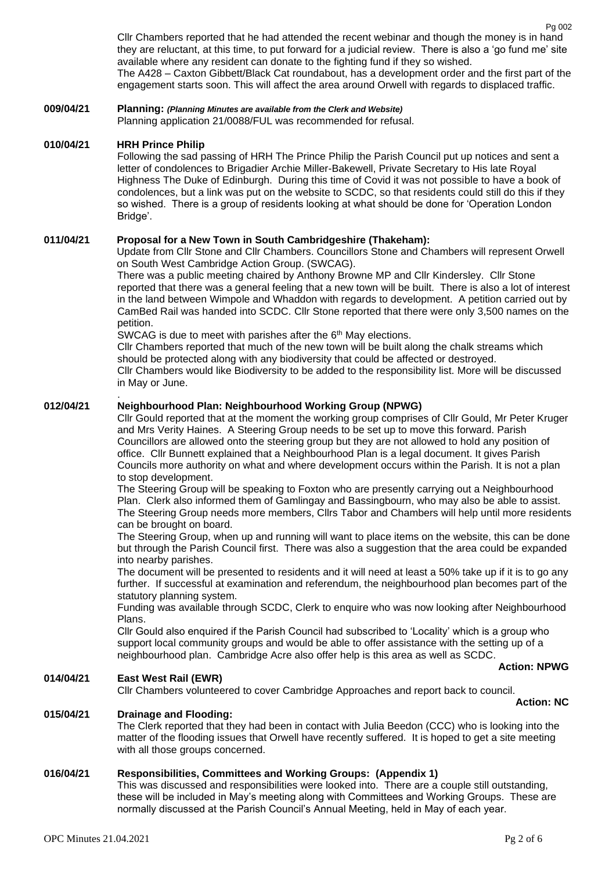Cllr Chambers reported that he had attended the recent webinar and though the money is in hand they are reluctant, at this time, to put forward for a judicial review. There is also a 'go fund me' site available where any resident can donate to the fighting fund if they so wished. The A428 – Caxton Gibbett/Black Cat roundabout, has a development order and the first part of the engagement starts soon. This will affect the area around Orwell with regards to displaced traffic.

## **009/04/21 Planning:** *(Planning Minutes are available from the Clerk and Website)*

Planning application 21/0088/FUL was recommended for refusal.

## **010/04/21 HRH Prince Philip**

.

Following the sad passing of HRH The Prince Philip the Parish Council put up notices and sent a letter of condolences to Brigadier Archie Miller-Bakewell, Private Secretary to His late Royal Highness The Duke of Edinburgh. During this time of Covid it was not possible to have a book of condolences, but a link was put on the website to SCDC, so that residents could still do this if they so wished. There is a group of residents looking at what should be done for 'Operation London Bridge'.

## **011/04/21 Proposal for a New Town in South Cambridgeshire (Thakeham):**

Update from Cllr Stone and Cllr Chambers. Councillors Stone and Chambers will represent Orwell on South West Cambridge Action Group. (SWCAG).

There was a public meeting chaired by Anthony Browne MP and Cllr Kindersley. Cllr Stone reported that there was a general feeling that a new town will be built. There is also a lot of interest in the land between Wimpole and Whaddon with regards to development. A petition carried out by CamBed Rail was handed into SCDC. Cllr Stone reported that there were only 3,500 names on the petition.

SWCAG is due to meet with parishes after the 6<sup>th</sup> May elections.

Cllr Chambers reported that much of the new town will be built along the chalk streams which should be protected along with any biodiversity that could be affected or destroyed.

Cllr Chambers would like Biodiversity to be added to the responsibility list. More will be discussed in May or June.

## **012/04/21 Neighbourhood Plan: Neighbourhood Working Group (NPWG)**

Cllr Gould reported that at the moment the working group comprises of Cllr Gould, Mr Peter Kruger and Mrs Verity Haines. A Steering Group needs to be set up to move this forward. Parish Councillors are allowed onto the steering group but they are not allowed to hold any position of office. Cllr Bunnett explained that a Neighbourhood Plan is a legal document. It gives Parish Councils more authority on what and where development occurs within the Parish. It is not a plan to stop development.

The Steering Group will be speaking to Foxton who are presently carrying out a Neighbourhood Plan. Clerk also informed them of Gamlingay and Bassingbourn, who may also be able to assist. The Steering Group needs more members, Cllrs Tabor and Chambers will help until more residents can be brought on board.

The Steering Group, when up and running will want to place items on the website, this can be done but through the Parish Council first. There was also a suggestion that the area could be expanded into nearby parishes.

The document will be presented to residents and it will need at least a 50% take up if it is to go any further. If successful at examination and referendum, the neighbourhood plan becomes part of the statutory planning system.

Funding was available through SCDC, Clerk to enquire who was now looking after Neighbourhood Plans.

Cllr Gould also enquired if the Parish Council had subscribed to 'Locality' which is a group who support local community groups and would be able to offer assistance with the setting up of a neighbourhood plan. Cambridge Acre also offer help is this area as well as SCDC.

 **Action: NPWG**

## **014/04/21 East West Rail (EWR)**

Cllr Chambers volunteered to cover Cambridge Approaches and report back to council.

**Action: NC**

#### **015/04/21 Drainage and Flooding:**

The Clerk reported that they had been in contact with Julia Beedon (CCC) who is looking into the matter of the flooding issues that Orwell have recently suffered. It is hoped to get a site meeting with all those groups concerned.

## **016/04/21 Responsibilities, Committees and Working Groups: (Appendix 1)**

This was discussed and responsibilities were looked into. There are a couple still outstanding, these will be included in May's meeting along with Committees and Working Groups. These are normally discussed at the Parish Council's Annual Meeting, held in May of each year.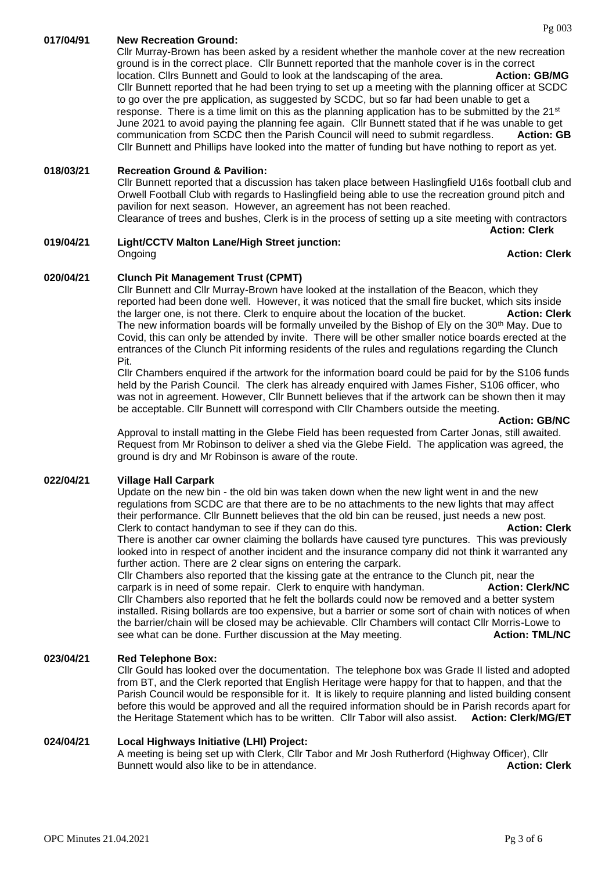Cllr Murray-Brown has been asked by a resident whether the manhole cover at the new recreation ground is in the correct place. Cllr Bunnett reported that the manhole cover is in the correct location. Clirs Bunnett and Gould to look at the landscaping of the area. **Action: GB/MG** Cllr Bunnett reported that he had been trying to set up a meeting with the planning officer at SCDC to go over the pre application, as suggested by SCDC, but so far had been unable to get a response. There is a time limit on this as the planning application has to be submitted by the 21<sup>st</sup> June 2021 to avoid paying the planning fee again. Cllr Bunnett stated that if he was unable to get communication from SCDC then the Parish Council will need to submit regardless. **Action: GB** Cllr Bunnett and Phillips have looked into the matter of funding but have nothing to report as yet.

## **018/03/21 Recreation Ground & Pavilion:**

Cllr Bunnett reported that a discussion has taken place between Haslingfield U16s football club and Orwell Football Club with regards to Haslingfield being able to use the recreation ground pitch and pavilion for next season. However, an agreement has not been reached. Clearance of trees and bushes, Clerk is in the process of setting up a site meeting with contractors

**Action: Clerk**

#### **019/04/21 Light/CCTV Malton Lane/High Street junction: Ongoing Action: Clerk**

## **020/04/21 Clunch Pit Management Trust (CPMT)**

Cllr Bunnett and Cllr Murray-Brown have looked at the installation of the Beacon, which they reported had been done well. However, it was noticed that the small fire bucket, which sits inside the larger one, is not there. Clerk to enquire about the location of the bucket. **Action: Clerk** The new information boards will be formally unveiled by the Bishop of Ely on the  $30<sup>th</sup>$  May. Due to Covid, this can only be attended by invite. There will be other smaller notice boards erected at the entrances of the Clunch Pit informing residents of the rules and regulations regarding the Clunch Pit.

Cllr Chambers enquired if the artwork for the information board could be paid for by the S106 funds held by the Parish Council. The clerk has already enquired with James Fisher, S106 officer, who was not in agreement. However, Cllr Bunnett believes that if the artwork can be shown then it may be acceptable. Cllr Bunnett will correspond with Cllr Chambers outside the meeting.

Approval to install matting in the Glebe Field has been requested from Carter Jonas, still awaited. Request from Mr Robinson to deliver a shed via the Glebe Field. The application was agreed, the ground is dry and Mr Robinson is aware of the route.

## **022/04/21 Village Hall Carpark**

Update on the new bin - the old bin was taken down when the new light went in and the new regulations from SCDC are that there are to be no attachments to the new lights that may affect their performance. Cllr Bunnett believes that the old bin can be reused, just needs a new post. Clerk to contact handyman to see if they can do this. **Action: Clerk**

There is another car owner claiming the bollards have caused tyre punctures. This was previously looked into in respect of another incident and the insurance company did not think it warranted any further action. There are 2 clear signs on entering the carpark.

Cllr Chambers also reported that the kissing gate at the entrance to the Clunch pit, near the carpark is in need of some repair. Clerk to enquire with handyman. **Action: Clerk/NC** Cllr Chambers also reported that he felt the bollards could now be removed and a better system installed. Rising bollards are too expensive, but a barrier or some sort of chain with notices of when the barrier/chain will be closed may be achievable. Cllr Chambers will contact Cllr Morris-Lowe to see what can be done. Further discussion at the May meeting. **Action: TML/NC** 

### **023/04/21 Red Telephone Box:**

Cllr Gould has looked over the documentation. The telephone box was Grade II listed and adopted from BT, and the Clerk reported that English Heritage were happy for that to happen, and that the Parish Council would be responsible for it. It is likely to require planning and listed building consent before this would be approved and all the required information should be in Parish records apart for the Heritage Statement which has to be written. Cllr Tabor will also assist. **Action: Clerk/MG/ET**

## **024/04/21 Local Highways Initiative (LHI) Project:**

A meeting is being set up with Clerk, Cllr Tabor and Mr Josh Rutherford (Highway Officer), Cllr Bunnett would also like to be in attendance. **Action: Clerk Action: Clerk**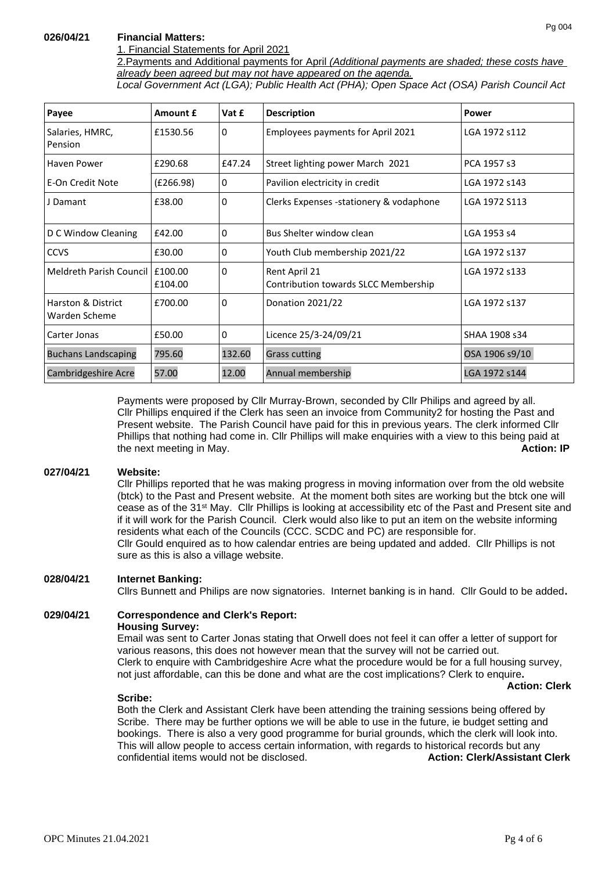## **026/04/21 Financial Matters:**

## 1. Financial Statements for April 2021

2.Payments and Additional payments for April *(Additional payments are shaded; these costs have already been agreed but may not have appeared on the agenda.*

*Local Government Act (LGA); Public Health Act (PHA); Open Space Act (OSA) Parish Council Act* 

| Payee                                          | Amount £           | Vat £        | <b>Description</b>                                                     | Power          |
|------------------------------------------------|--------------------|--------------|------------------------------------------------------------------------|----------------|
| Salaries, HMRC,<br>Pension                     | £1530.56           | $\mathbf{0}$ | Employees payments for April 2021                                      | LGA 1972 s112  |
| Haven Power                                    | £290.68            | £47.24       | Street lighting power March 2021                                       | PCA 1957 s3    |
| E-On Credit Note                               | (E266.98)          | 0            | Pavilion electricity in credit                                         | LGA 1972 s143  |
| J Damant                                       | £38.00             | 0            | Clerks Expenses -stationery & vodaphone<br>LGA 1972 S113               |                |
| D C Window Cleaning                            | £42.00             | 0            | Bus Shelter window clean                                               | LGA 1953 s4    |
| <b>CCVS</b>                                    | £30.00             | 0            | Youth Club membership 2021/22                                          | LGA 1972 s137  |
| Meldreth Parish Council                        | £100.00<br>£104.00 | 0            | Rent April 21<br>LGA 1972 s133<br>Contribution towards SLCC Membership |                |
| <b>Harston &amp; District</b><br>Warden Scheme | £700.00            | 0            | Donation 2021/22                                                       | LGA 1972 s137  |
| Carter Jonas                                   | £50.00             | $\mathbf{0}$ | Licence 25/3-24/09/21                                                  | SHAA 1908 s34  |
| <b>Buchans Landscaping</b>                     | 795.60             | 132.60       | <b>Grass cutting</b>                                                   | OSA 1906 s9/10 |
| Cambridgeshire Acre                            | 57.00              | 12.00        | Annual membership                                                      | LGA 1972 s144  |

Payments were proposed by Cllr Murray-Brown, seconded by Cllr Philips and agreed by all. Cllr Phillips enquired if the Clerk has seen an invoice from Community2 for hosting the Past and Present website. The Parish Council have paid for this in previous years. The clerk informed Cllr Phillips that nothing had come in. Cllr Phillips will make enquiries with a view to this being paid at the next meeting in May. **Action: IP**

## **027/04/21 Website:**

Cllr Phillips reported that he was making progress in moving information over from the old website (btck) to the Past and Present website. At the moment both sites are working but the btck one will cease as of the 31st May. Cllr Phillips is looking at accessibility etc of the Past and Present site and if it will work for the Parish Council. Clerk would also like to put an item on the website informing residents what each of the Councils (CCC. SCDC and PC) are responsible for. Cllr Gould enquired as to how calendar entries are being updated and added. Cllr Phillips is not sure as this is also a village website.

## **028/04/21 Internet Banking:**

Cllrs Bunnett and Philips are now signatories. Internet banking is in hand. Cllr Gould to be added**.** 

## **029/04/21 Correspondence and Clerk's Report: Housing Survey:**

Email was sent to Carter Jonas stating that Orwell does not feel it can offer a letter of support for various reasons, this does not however mean that the survey will not be carried out. Clerk to enquire with Cambridgeshire Acre what the procedure would be for a full housing survey, not just affordable, can this be done and what are the cost implications? Clerk to enquire**.** 

 **Action: Clerk**

## **Scribe:**

Both the Clerk and Assistant Clerk have been attending the training sessions being offered by Scribe. There may be further options we will be able to use in the future, ie budget setting and bookings. There is also a very good programme for burial grounds, which the clerk will look into. This will allow people to access certain information, with regards to historical records but any confidential items would not be disclosed. **Action: Clerk/Assistant Clerk**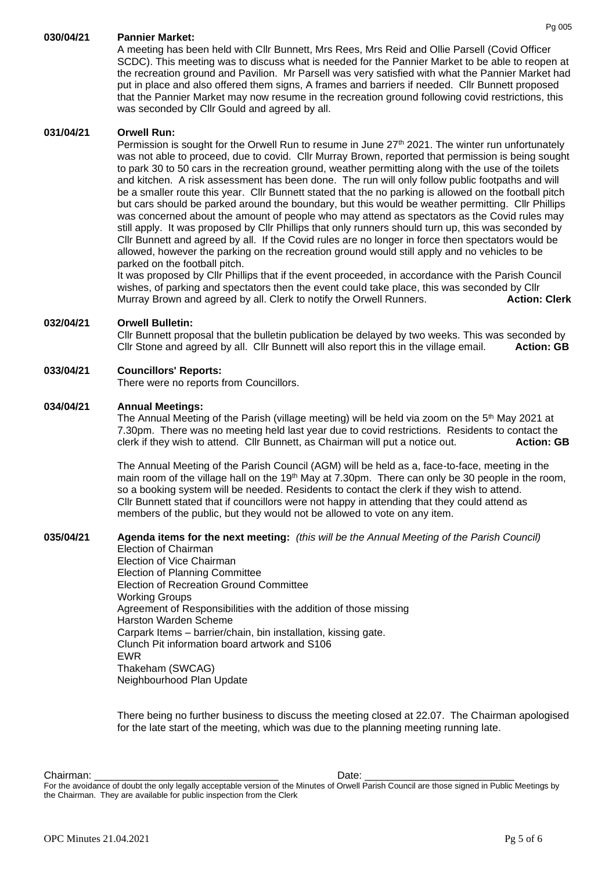## **030/04/21 Pannier Market:**

A meeting has been held with Cllr Bunnett, Mrs Rees, Mrs Reid and Ollie Parsell (Covid Officer SCDC). This meeting was to discuss what is needed for the Pannier Market to be able to reopen at the recreation ground and Pavilion. Mr Parsell was very satisfied with what the Pannier Market had put in place and also offered them signs, A frames and barriers if needed. Cllr Bunnett proposed that the Pannier Market may now resume in the recreation ground following covid restrictions, this was seconded by Cllr Gould and agreed by all.

#### **031/04/21 Orwell Run:**

Permission is sought for the Orwell Run to resume in June 27<sup>th</sup> 2021. The winter run unfortunately was not able to proceed, due to covid. Cllr Murray Brown, reported that permission is being sought to park 30 to 50 cars in the recreation ground, weather permitting along with the use of the toilets and kitchen. A risk assessment has been done. The run will only follow public footpaths and will be a smaller route this year. Cllr Bunnett stated that the no parking is allowed on the football pitch but cars should be parked around the boundary, but this would be weather permitting. Cllr Phillips was concerned about the amount of people who may attend as spectators as the Covid rules may still apply. It was proposed by Cllr Phillips that only runners should turn up, this was seconded by Cllr Bunnett and agreed by all. If the Covid rules are no longer in force then spectators would be allowed, however the parking on the recreation ground would still apply and no vehicles to be parked on the football pitch.

It was proposed by Cllr Phillips that if the event proceeded, in accordance with the Parish Council wishes, of parking and spectators then the event could take place, this was seconded by Cllr Murray Brown and agreed by all. Clerk to notify the Orwell Runners. **Action: Clerk**

## **032/04/21 Orwell Bulletin:**

Cllr Bunnett proposal that the bulletin publication be delayed by two weeks. This was seconded by Cllr Stone and agreed by all. Cllr Bunnett will also report this in the village email. **Action: GB**

### **033/04/21 Councillors' Reports:**

There were no reports from Councillors.

## **034/04/21 Annual Meetings:**

The Annual Meeting of the Parish (village meeting) will be held via zoom on the  $5<sup>th</sup>$  May 2021 at 7.30pm. There was no meeting held last year due to covid restrictions. Residents to contact the clerk if they wish to attend. Cllr Bunnett, as Chairman will put a notice out. **Action: GB**

The Annual Meeting of the Parish Council (AGM) will be held as a, face-to-face, meeting in the main room of the village hall on the 19<sup>th</sup> May at 7.30pm. There can only be 30 people in the room, so a booking system will be needed. Residents to contact the clerk if they wish to attend. Cllr Bunnett stated that if councillors were not happy in attending that they could attend as members of the public, but they would not be allowed to vote on any item.

## **035/04/21 Agenda items for the next meeting:** *(this will be the Annual Meeting of the Parish Council)*

Election of Chairman Election of Vice Chairman Election of Planning Committee Election of Recreation Ground Committee Working Groups Agreement of Responsibilities with the addition of those missing Harston Warden Scheme Carpark Items – barrier/chain, bin installation, kissing gate. Clunch Pit information board artwork and S106 EWR Thakeham (SWCAG) Neighbourhood Plan Update

There being no further business to discuss the meeting closed at 22.07. The Chairman apologised for the late start of the meeting, which was due to the planning meeting running late.

Chairman: \_\_\_\_\_\_\_\_\_\_\_\_\_\_\_\_\_\_\_\_\_\_\_\_\_\_\_\_\_\_\_\_ Date: \_\_\_\_\_\_\_\_\_\_\_\_\_\_\_\_\_\_\_\_\_\_\_\_\_\_

For the avoidance of doubt the only legally acceptable version of the Minutes of Orwell Parish Council are those signed in Public Meetings by the Chairman. They are available for public inspection from the Clerk